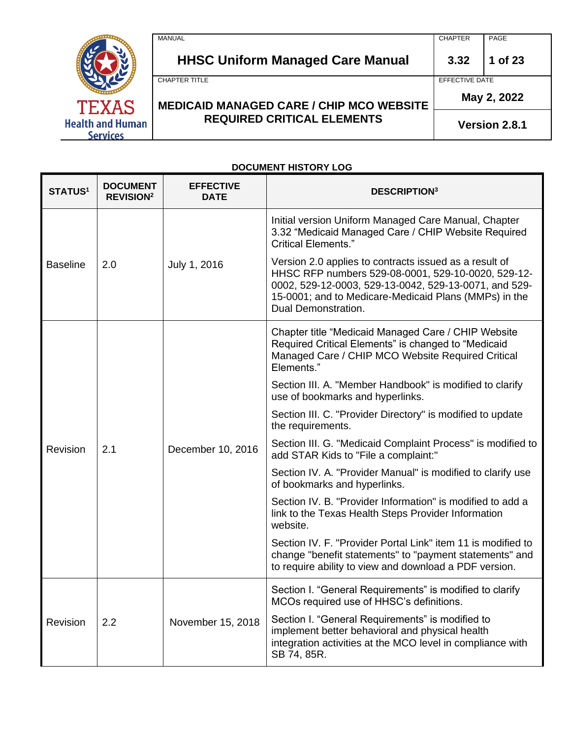|                                            | MANUAL                                          | <b>CHAPTER</b> | PAGE    |
|--------------------------------------------|-------------------------------------------------|----------------|---------|
|                                            | <b>HHSC Uniform Managed Care Manual</b>         | 3.32           | 1 of 23 |
|                                            | CHAPTER TITLE                                   | EFFECTIVE DATE |         |
| <b>TEXAS</b>                               | <b>MEDICAID MANAGED CARE / CHIP MCO WEBSITE</b> | May 2, 2022    |         |
| <b>Health and Human</b><br><b>Services</b> | <b>REQUIRED CRITICAL ELEMENTS</b>               | Version 2.8.1  |         |

# **DOCUMENT HISTORY LOG**

| <b>STATUS1</b>  | <b>DOCUMENT</b><br><b>REVISION<sup>2</sup></b> | <b>EFFECTIVE</b><br><b>DATE</b> | <b>DESCRIPTION3</b>                                                                                                                                                                                                                                   |
|-----------------|------------------------------------------------|---------------------------------|-------------------------------------------------------------------------------------------------------------------------------------------------------------------------------------------------------------------------------------------------------|
|                 |                                                |                                 | Initial version Uniform Managed Care Manual, Chapter<br>3.32 "Medicaid Managed Care / CHIP Website Required<br><b>Critical Elements."</b>                                                                                                             |
| <b>Baseline</b> | 2.0                                            | July 1, 2016                    | Version 2.0 applies to contracts issued as a result of<br>HHSC RFP numbers 529-08-0001, 529-10-0020, 529-12-<br>0002, 529-12-0003, 529-13-0042, 529-13-0071, and 529-<br>15-0001; and to Medicare-Medicaid Plans (MMPs) in the<br>Dual Demonstration. |
|                 |                                                |                                 | Chapter title "Medicaid Managed Care / CHIP Website<br>Required Critical Elements" is changed to "Medicaid<br>Managed Care / CHIP MCO Website Required Critical<br>Elements."                                                                         |
|                 |                                                |                                 | Section III. A. "Member Handbook" is modified to clarify<br>use of bookmarks and hyperlinks.                                                                                                                                                          |
|                 |                                                |                                 | Section III. C. "Provider Directory" is modified to update<br>the requirements.                                                                                                                                                                       |
| Revision        | 2.1                                            | December 10, 2016               | Section III. G. "Medicaid Complaint Process" is modified to<br>add STAR Kids to "File a complaint:"                                                                                                                                                   |
|                 |                                                |                                 | Section IV. A. "Provider Manual" is modified to clarify use<br>of bookmarks and hyperlinks.                                                                                                                                                           |
|                 |                                                |                                 | Section IV. B. "Provider Information" is modified to add a<br>link to the Texas Health Steps Provider Information<br>website.                                                                                                                         |
|                 |                                                |                                 | Section IV. F. "Provider Portal Link" item 11 is modified to<br>change "benefit statements" to "payment statements" and<br>to require ability to view and download a PDF version.                                                                     |
|                 |                                                |                                 | Section I. "General Requirements" is modified to clarify<br>MCOs required use of HHSC's definitions.                                                                                                                                                  |
| Revision        | 2.2                                            | November 15, 2018               | Section I. "General Requirements" is modified to<br>implement better behavioral and physical health<br>integration activities at the MCO level in compliance with<br>SB 74, 85R.                                                                      |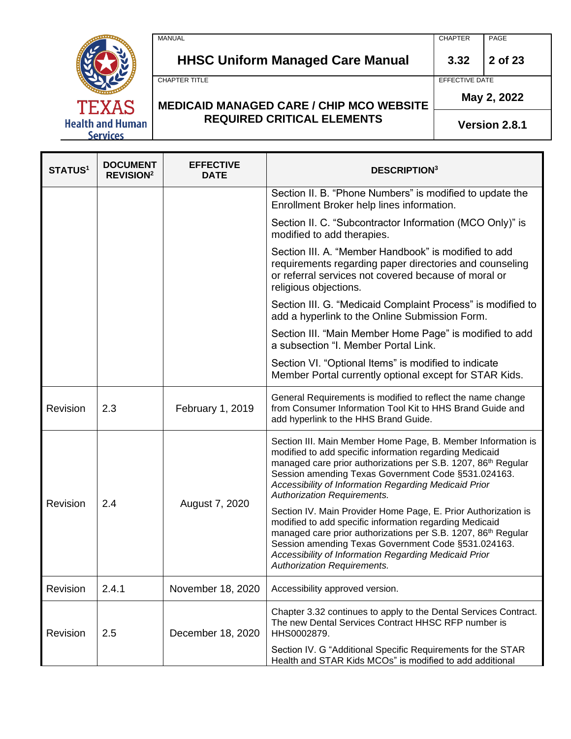MANUAL CHAPTER PAGE

**HHSC Uniform Managed Care Manual 3.32 2 of 23**

**May 2, 2022**

#### **MEDICAID MANAGED CARE / CHIP MCO WEBSITE REQUIRED CRITICAL ELEMENTS**

**Version 2.8.1**

**STATUS<sup>1</sup> DOCUMENT REVISION<sup>2</sup> EFFECTIVE DESCRIPTION<sup>3</sup>** Section II. B. "Phone Numbers" is modified to update the Enrollment Broker help lines information. Section II. C. "Subcontractor Information (MCO Only)" is modified to add therapies. Section III. A. "Member Handbook" is modified to add requirements regarding paper directories and counseling or referral services not covered because of moral or religious objections. Section III. G. "Medicaid Complaint Process" is modified to add a hyperlink to the Online Submission Form. Section III. "Main Member Home Page" is modified to add a subsection "I. Member Portal Link. Section VI. "Optional Items" is modified to indicate Member Portal currently optional except for STAR Kids. Revision 2.3 February 1, 2019 General Requirements is modified to reflect the name change from Consumer Information Tool Kit to HHS Brand Guide and add hyperlink to the HHS Brand Guide. Revision 2.4 August 7, 2020 Section III. Main Member Home Page, B. Member Information is modified to add specific information regarding Medicaid managed care prior authorizations per S.B. 1207, 86<sup>th</sup> Regular Session amending Texas Government Code §531.024163. *Accessibility of Information Regarding Medicaid Prior Authorization Requirements.* Section IV. Main Provider Home Page, E. Prior Authorization is modified to add specific information regarding Medicaid managed care prior authorizations per S.B. 1207, 86<sup>th</sup> Regular Session amending Texas Government Code §531.024163. *Accessibility of Information Regarding Medicaid Prior Authorization Requirements.* Revision 2.4.1 | November 18, 2020 | Accessibility approved version. Revision 2.5 | December 18, 2020 Chapter 3.32 continues to apply to the Dental Services Contract. The new Dental Services Contract HHSC RFP number is HHS0002879. Section IV. G "Additional Specific Requirements for the STAR Health and STAR Kids MCOs" is modified to add additional



CHAPTER TITLE **EXECUTE A STATE OF STATE AND STATE ASSESSMENT OF STATE AND STATE AND STATE AND STATE AND STATE AND STATE AND STATE AND STATE AND STATE AND STATE AND STATE AND STATE AND STATE AND STATE AND STATE AND STATE AN**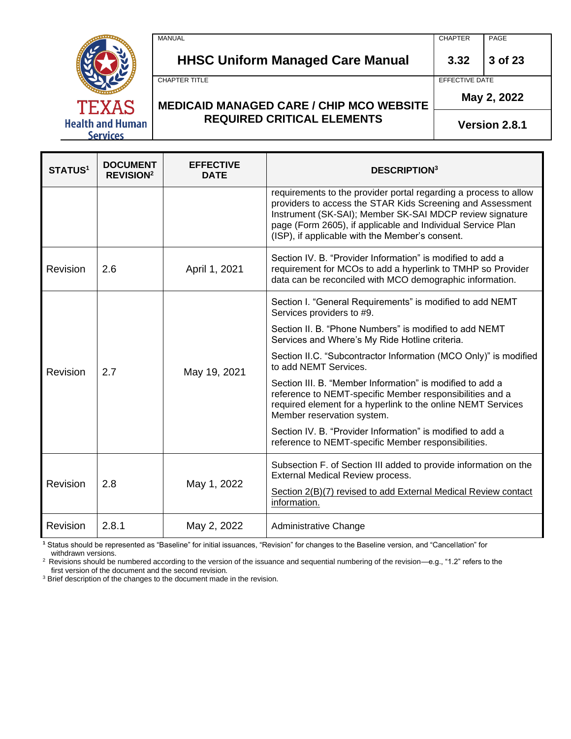MANUAL CHAPTER PAGE



**HHSC Uniform Managed Care Manual 3.32 3 of 23**

CHAPTER TITLE **EFFECTIVE DATE** 

**May 2, 2022**

**MEDICAID MANAGED CARE / CHIP MCO WEBSITE REQUIRED CRITICAL ELEMENTS**

**Version 2.8.1**

| <b>STATUS<sup>1</sup></b> | <b>DOCUMENT</b><br><b>REVISION<sup>2</sup></b> | <b>EFFECTIVE</b><br><b>DATE</b> | <b>DESCRIPTION</b> <sup>3</sup>                                                                                                                                                                                                                                                                              |
|---------------------------|------------------------------------------------|---------------------------------|--------------------------------------------------------------------------------------------------------------------------------------------------------------------------------------------------------------------------------------------------------------------------------------------------------------|
|                           |                                                |                                 | requirements to the provider portal regarding a process to allow<br>providers to access the STAR Kids Screening and Assessment<br>Instrument (SK-SAI); Member SK-SAI MDCP review signature<br>page (Form 2605), if applicable and Individual Service Plan<br>(ISP), if applicable with the Member's consent. |
| Revision                  | 2.6                                            | April 1, 2021                   | Section IV, B. "Provider Information" is modified to add a<br>requirement for MCOs to add a hyperlink to TMHP so Provider<br>data can be reconciled with MCO demographic information.                                                                                                                        |
|                           |                                                |                                 | Section I. "General Requirements" is modified to add NEMT<br>Services providers to #9.                                                                                                                                                                                                                       |
| Revision                  | 2.7                                            | May 19, 2021                    | Section II, B. "Phone Numbers" is modified to add NEMT<br>Services and Where's My Ride Hotline criteria.                                                                                                                                                                                                     |
|                           |                                                |                                 | Section II.C. "Subcontractor Information (MCO Only)" is modified<br>to add NEMT Services.                                                                                                                                                                                                                    |
|                           |                                                |                                 | Section III, B. "Member Information" is modified to add a<br>reference to NEMT-specific Member responsibilities and a<br>required element for a hyperlink to the online NEMT Services<br>Member reservation system.                                                                                          |
|                           |                                                |                                 | Section IV, B. "Provider Information" is modified to add a<br>reference to NEMT-specific Member responsibilities.                                                                                                                                                                                            |
|                           |                                                |                                 | Subsection F. of Section III added to provide information on the<br>External Medical Review process.                                                                                                                                                                                                         |
| Revision                  | 2.8                                            | May 1, 2022                     | Section 2(B)(7) revised to add External Medical Review contact<br>information.                                                                                                                                                                                                                               |
| Revision                  | 2.8.1                                          | May 2, 2022                     | Administrative Change                                                                                                                                                                                                                                                                                        |

**<sup>1</sup>** Status should be represented as "Baseline" for initial issuances, "Revision" for changes to the Baseline version, and "Cancellation" for withdrawn versions.

<sup>2</sup> Revisions should be numbered according to the version of the issuance and sequential numbering of the revision—e.g., "1.2" refers to the first version of the document and the second revision.

<sup>3</sup> Brief description of the changes to the document made in the revision.

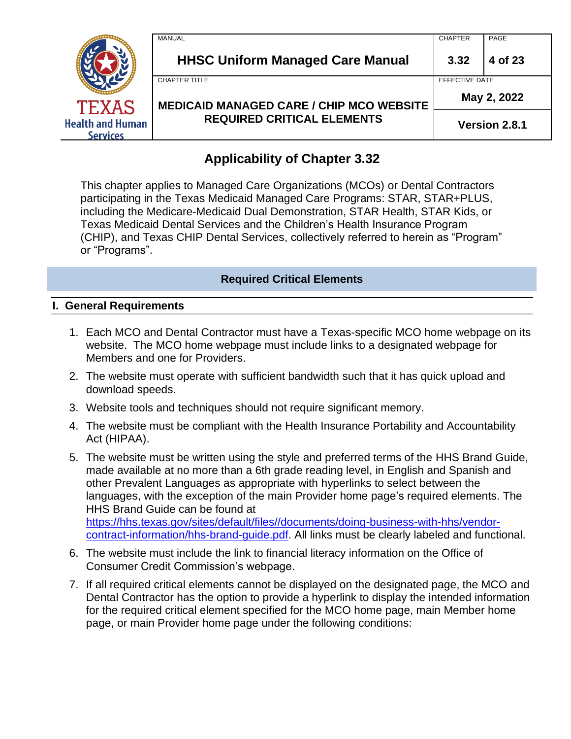|                                            | <b>MANUAL</b>                                                                        | <b>CHAPTER</b> | PAGE    |
|--------------------------------------------|--------------------------------------------------------------------------------------|----------------|---------|
| <b>TEXAS</b>                               | <b>HHSC Uniform Managed Care Manual</b>                                              | 3.32           | 4 of 23 |
|                                            | <b>CHAPTER TITLE</b>                                                                 | EFFECTIVE DATE |         |
|                                            | <b>MEDICAID MANAGED CARE / CHIP MCO WEBSITE</b><br><b>REQUIRED CRITICAL ELEMENTS</b> | May 2, 2022    |         |
| <b>Health and Human</b><br><b>Services</b> |                                                                                      | Version 2.8.1  |         |

# **Applicability of Chapter 3.32**

This chapter applies to Managed Care Organizations (MCOs) or Dental Contractors participating in the Texas Medicaid Managed Care Programs: STAR, STAR+PLUS, including the Medicare-Medicaid Dual Demonstration, STAR Health, STAR Kids, or Texas Medicaid Dental Services and the Children's Health Insurance Program (CHIP), and Texas CHIP Dental Services, collectively referred to herein as "Program" or "Programs".

# **Required Critical Elements**

### **I. General Requirements**

- 1. Each MCO and Dental Contractor must have a Texas-specific MCO home webpage on its website. The MCO home webpage must include links to a designated webpage for Members and one for Providers.
- 2. The website must operate with sufficient bandwidth such that it has quick upload and download speeds.
- 3. Website tools and techniques should not require significant memory.
- 4. The website must be compliant with the Health Insurance Portability and Accountability Act (HIPAA).
- 5. The website must be written using the style and preferred terms of the HHS Brand Guide, made available at no more than a 6th grade reading level, in English and Spanish and other Prevalent Languages as appropriate with hyperlinks to select between the languages, with the exception of the main Provider home page's required elements. The HHS Brand Guide can be found at [https://hhs.texas.gov/sites/default/files//documents/doing-business-with-hhs/vendor](https://hhs.texas.gov/sites/default/files/documents/doing-business-with-hhs/vendor-contract-information/hhs-brand-guide.pdf)[contract-information/hhs-brand-guide.pdf.](https://hhs.texas.gov/sites/default/files/documents/doing-business-with-hhs/vendor-contract-information/hhs-brand-guide.pdf) All links must be clearly labeled and functional.
- 6. The website must include the link to financial literacy information on the Office of Consumer Credit Commission's webpage.
- 7. If all required critical elements cannot be displayed on the designated page, the MCO and Dental Contractor has the option to provide a hyperlink to display the intended information for the required critical element specified for the MCO home page, main Member home page, or main Provider home page under the following conditions: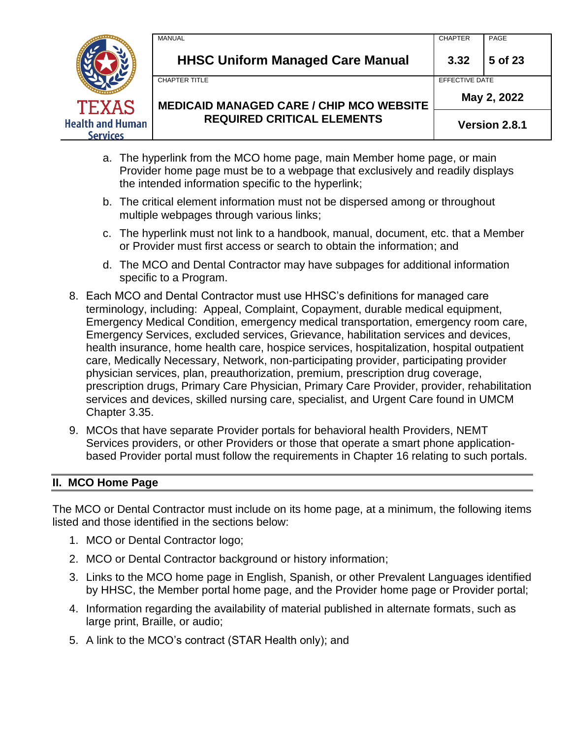

- a. The hyperlink from the MCO home page, main Member home page, or main Provider home page must be to a webpage that exclusively and readily displays the intended information specific to the hyperlink;
- b. The critical element information must not be dispersed among or throughout multiple webpages through various links;
- c. The hyperlink must not link to a handbook, manual, document, etc. that a Member or Provider must first access or search to obtain the information; and
- d. The MCO and Dental Contractor may have subpages for additional information specific to a Program.
- 8. Each MCO and Dental Contractor must use HHSC's definitions for managed care terminology, including: Appeal, Complaint, Copayment, durable medical equipment, Emergency Medical Condition, emergency medical transportation, emergency room care, Emergency Services, excluded services, Grievance, habilitation services and devices, health insurance, home health care, hospice services, hospitalization, hospital outpatient care, Medically Necessary, Network, non-participating provider, participating provider physician services, plan, preauthorization, premium, prescription drug coverage, prescription drugs, Primary Care Physician, Primary Care Provider, provider, rehabilitation services and devices, skilled nursing care, specialist, and Urgent Care found in UMCM Chapter 3.35.
- 9. MCOs that have separate Provider portals for behavioral health Providers, NEMT Services providers, or other Providers or those that operate a smart phone applicationbased Provider portal must follow the requirements in Chapter 16 relating to such portals.

### **II. MCO Home Page**

The MCO or Dental Contractor must include on its home page, at a minimum, the following items listed and those identified in the sections below:

- 1. MCO or Dental Contractor logo;
- 2. MCO or Dental Contractor background or history information;
- 3. Links to the MCO home page in English, Spanish, or other Prevalent Languages identified by HHSC, the Member portal home page, and the Provider home page or Provider portal;
- 4. Information regarding the availability of material published in alternate formats, such as large print, Braille, or audio;
- 5. A link to the MCO's contract (STAR Health only); and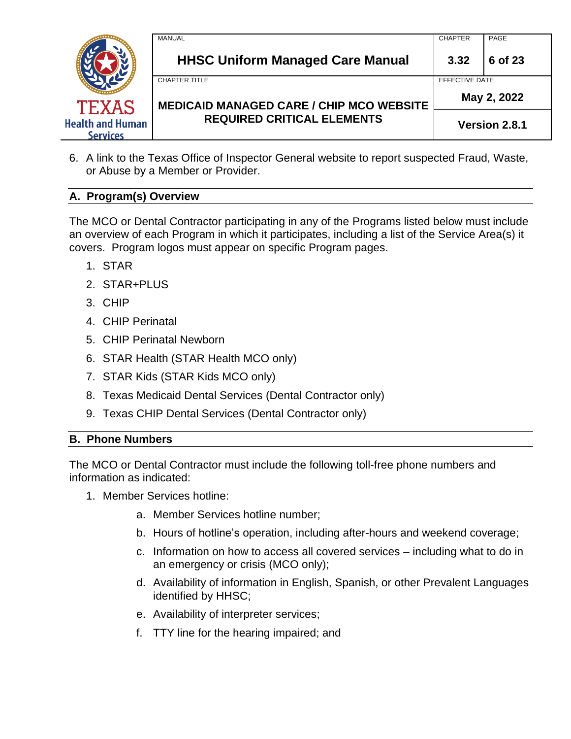

6. A link to the Texas Office of Inspector General website to report suspected Fraud, Waste, or Abuse by a Member or Provider.

# **A. Program(s) Overview**

The MCO or Dental Contractor participating in any of the Programs listed below must include an overview of each Program in which it participates, including a list of the Service Area(s) it covers. Program logos must appear on specific Program pages.

- 1. STAR
- 2. STAR+PLUS
- 3. CHIP
- 4. CHIP Perinatal
- 5. CHIP Perinatal Newborn
- 6. STAR Health (STAR Health MCO only)
- 7. STAR Kids (STAR Kids MCO only)
- 8. Texas Medicaid Dental Services (Dental Contractor only)
- 9. Texas CHIP Dental Services (Dental Contractor only)

### **B. Phone Numbers**

The MCO or Dental Contractor must include the following toll-free phone numbers and information as indicated:

- 1. Member Services hotline:
	- a. Member Services hotline number;
	- b. Hours of hotline's operation, including after-hours and weekend coverage;
	- c. Information on how to access all covered services including what to do in an emergency or crisis (MCO only);
	- d. Availability of information in English, Spanish, or other Prevalent Languages identified by HHSC;
	- e. Availability of interpreter services;
	- f. TTY line for the hearing impaired; and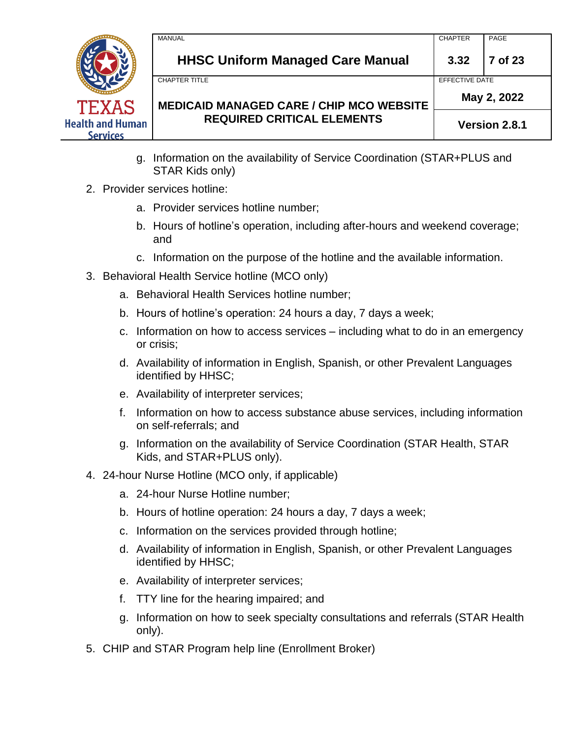

**HHSC Uniform Managed Care Manual 3.32 7 of 23**

CHAPTER TITLE **EXECUTE A RELATION CONTROL** 

# **MEDICAID MANAGED CARE / CHIP MCO WEBSITE REQUIRED CRITICAL ELEMENTS**

**May 2, 2022**

**Version 2.8.1**

- g. Information on the availability of Service Coordination (STAR+PLUS and STAR Kids only)
- 2. Provider services hotline:
	- a. Provider services hotline number;
	- b. Hours of hotline's operation, including after-hours and weekend coverage; and
	- c. Information on the purpose of the hotline and the available information.
- 3. Behavioral Health Service hotline (MCO only)
	- a. Behavioral Health Services hotline number;
	- b. Hours of hotline's operation: 24 hours a day, 7 days a week;
	- c. Information on how to access services including what to do in an emergency or crisis;
	- d. Availability of information in English, Spanish, or other Prevalent Languages identified by HHSC;
	- e. Availability of interpreter services;
	- f. Information on how to access substance abuse services, including information on self-referrals; and
	- g. Information on the availability of Service Coordination (STAR Health, STAR Kids, and STAR+PLUS only).
- 4. 24-hour Nurse Hotline (MCO only, if applicable)
	- a. 24-hour Nurse Hotline number;
	- b. Hours of hotline operation: 24 hours a day, 7 days a week;
	- c. Information on the services provided through hotline;
	- d. Availability of information in English, Spanish, or other Prevalent Languages identified by HHSC;
	- e. Availability of interpreter services;
	- f. TTY line for the hearing impaired; and
	- g. Information on how to seek specialty consultations and referrals (STAR Health only).
- 5. CHIP and STAR Program help line (Enrollment Broker)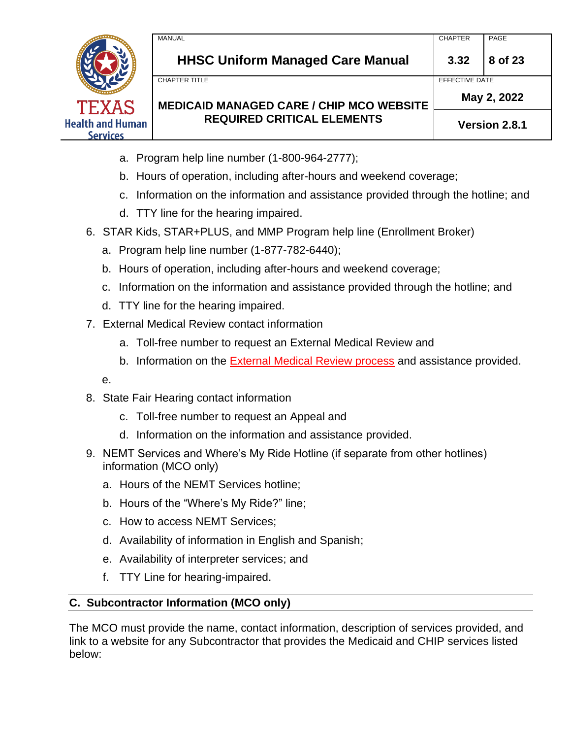

**HHSC Uniform Managed Care Manual 3.32 8 of 23**

CHAPTER TITLE **EXECUTE A RELATION CONTROL** 

**May 2, 2022**

**Version 2.8.1**

- a. Program help line number (1-800-964-2777);
- b. Hours of operation, including after-hours and weekend coverage;
- c. Information on the information and assistance provided through the hotline; and
- d. TTY line for the hearing impaired.
- 6. STAR Kids, STAR+PLUS, and MMP Program help line (Enrollment Broker)
	- a. Program help line number (1-877-782-6440);
	- b. Hours of operation, including after-hours and weekend coverage;
	- c. Information on the information and assistance provided through the hotline; and
	- d. TTY line for the hearing impaired.
- 7. External Medical Review contact information
	- a. Toll-free number to request an External Medical Review and
	- b. Information on the External Medical Review process and assistance provided.

e.

- 8. State Fair Hearing contact information
	- c. Toll-free number to request an Appeal and
	- d. Information on the information and assistance provided.
- 9. NEMT Services and Where's My Ride Hotline (if separate from other hotlines) information (MCO only)
	- a. Hours of the NEMT Services hotline;
	- b. Hours of the "Where's My Ride?" line;
	- c. How to access NEMT Services;
	- d. Availability of information in English and Spanish;
	- e. Availability of interpreter services; and
	- f. TTY Line for hearing-impaired.

# **C. Subcontractor Information (MCO only)**

The MCO must provide the name, contact information, description of services provided, and link to a website for any Subcontractor that provides the Medicaid and CHIP services listed below: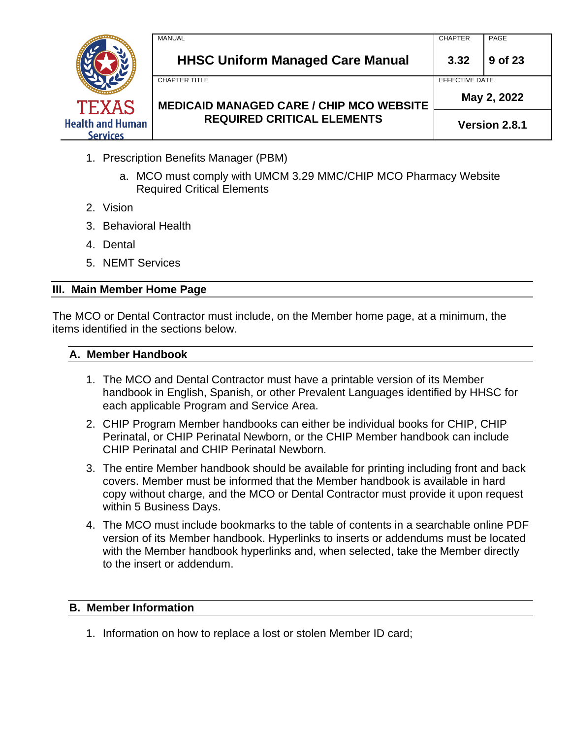

- 1. Prescription Benefits Manager (PBM)
	- a. MCO must comply with UMCM 3.29 MMC/CHIP MCO Pharmacy Website Required Critical Elements
- 2. Vision
- 3. Behavioral Health
- 4. Dental
- 5. NEMT Services

### **III. Main Member Home Page**

The MCO or Dental Contractor must include, on the Member home page, at a minimum, the items identified in the sections below.

### **A. Member Handbook**

- 1. The MCO and Dental Contractor must have a printable version of its Member handbook in English, Spanish, or other Prevalent Languages identified by HHSC for each applicable Program and Service Area.
- 2. CHIP Program Member handbooks can either be individual books for CHIP, CHIP Perinatal, or CHIP Perinatal Newborn, or the CHIP Member handbook can include CHIP Perinatal and CHIP Perinatal Newborn.
- 3. The entire Member handbook should be available for printing including front and back covers. Member must be informed that the Member handbook is available in hard copy without charge, and the MCO or Dental Contractor must provide it upon request within 5 Business Days.
- 4. The MCO must include bookmarks to the table of contents in a searchable online PDF version of its Member handbook. Hyperlinks to inserts or addendums must be located with the Member handbook hyperlinks and, when selected, take the Member directly to the insert or addendum.

### **B. Member Information**

1. Information on how to replace a lost or stolen Member ID card;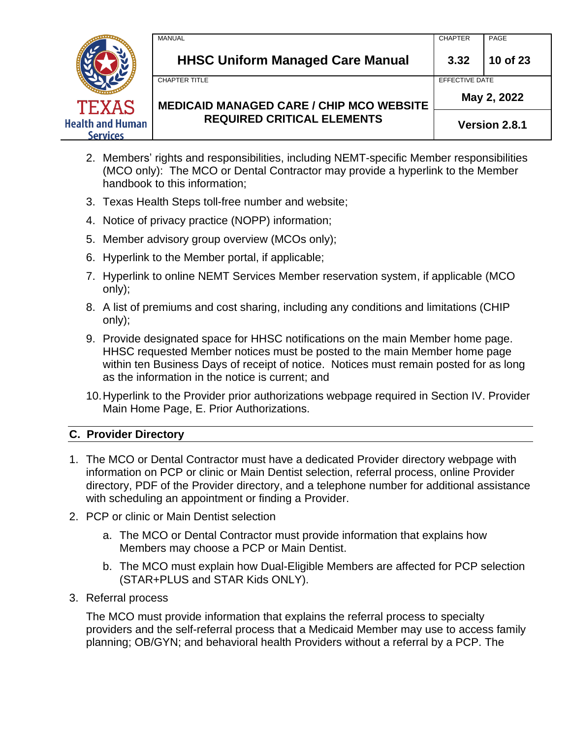

- 2. Members' rights and responsibilities, including NEMT-specific Member responsibilities (MCO only): The MCO or Dental Contractor may provide a hyperlink to the Member handbook to this information;
- 3. Texas Health Steps toll-free number and website;
- 4. Notice of privacy practice (NOPP) information;
- 5. Member advisory group overview (MCOs only);
- 6. Hyperlink to the Member portal, if applicable;
- 7. Hyperlink to online NEMT Services Member reservation system, if applicable (MCO only);
- 8. A list of premiums and cost sharing, including any conditions and limitations (CHIP only);
- 9. Provide designated space for HHSC notifications on the main Member home page. HHSC requested Member notices must be posted to the main Member home page within ten Business Days of receipt of notice. Notices must remain posted for as long as the information in the notice is current; and
- 10.Hyperlink to the Provider prior authorizations webpage required in Section IV. Provider Main Home Page, E. Prior Authorizations.

# **C. Provider Directory**

- 1. The MCO or Dental Contractor must have a dedicated Provider directory webpage with information on PCP or clinic or Main Dentist selection, referral process, online Provider directory, PDF of the Provider directory, and a telephone number for additional assistance with scheduling an appointment or finding a Provider.
- 2. PCP or clinic or Main Dentist selection
	- a. The MCO or Dental Contractor must provide information that explains how Members may choose a PCP or Main Dentist.
	- b. The MCO must explain how Dual-Eligible Members are affected for PCP selection (STAR+PLUS and STAR Kids ONLY).
- 3. Referral process

The MCO must provide information that explains the referral process to specialty providers and the self-referral process that a Medicaid Member may use to access family planning; OB/GYN; and behavioral health Providers without a referral by a PCP. The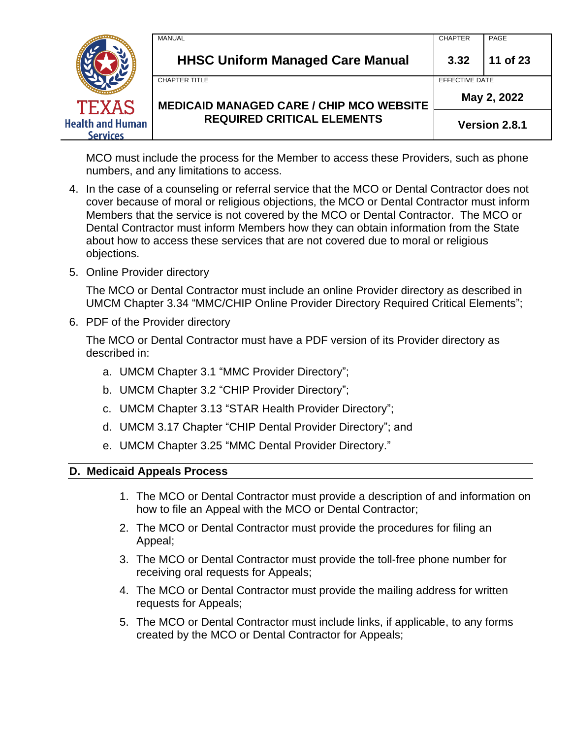| <b>TEXAS</b>                               | MANUAL<br><b>HHSC Uniform Managed Care Manual</b>                       | <b>CHAPTER</b><br>3.32        | PAGE<br>11 of 23 |
|--------------------------------------------|-------------------------------------------------------------------------|-------------------------------|------------------|
|                                            | <b>CHAPTER TITLE</b><br><b>MEDICAID MANAGED CARE / CHIP MCO WEBSITE</b> | EFFECTIVE DATE<br>May 2, 2022 |                  |
| <b>Health and Human</b><br><b>Services</b> | <b>REQUIRED CRITICAL ELEMENTS</b>                                       | Version 2.8.1                 |                  |

MCO must include the process for the Member to access these Providers, such as phone numbers, and any limitations to access.

- 4. In the case of a counseling or referral service that the MCO or Dental Contractor does not cover because of moral or religious objections, the MCO or Dental Contractor must inform Members that the service is not covered by the MCO or Dental Contractor. The MCO or Dental Contractor must inform Members how they can obtain information from the State about how to access these services that are not covered due to moral or religious objections.
- 5. Online Provider directory

The MCO or Dental Contractor must include an online Provider directory as described in UMCM Chapter 3.34 "MMC/CHIP Online Provider Directory Required Critical Elements";

6. PDF of the Provider directory

The MCO or Dental Contractor must have a PDF version of its Provider directory as described in:

- a. UMCM Chapter 3.1 "MMC Provider Directory";
- b. UMCM Chapter 3.2 "CHIP Provider Directory";
- c. UMCM Chapter 3.13 "STAR Health Provider Directory";
- d. UMCM 3.17 Chapter "CHIP Dental Provider Directory"; and
- e. UMCM Chapter 3.25 "MMC Dental Provider Directory."

### **D. Medicaid Appeals Process**

- 1. The MCO or Dental Contractor must provide a description of and information on how to file an Appeal with the MCO or Dental Contractor;
- 2. The MCO or Dental Contractor must provide the procedures for filing an Appeal;
- 3. The MCO or Dental Contractor must provide the toll-free phone number for receiving oral requests for Appeals;
- 4. The MCO or Dental Contractor must provide the mailing address for written requests for Appeals;
- 5. The MCO or Dental Contractor must include links, if applicable, to any forms created by the MCO or Dental Contractor for Appeals;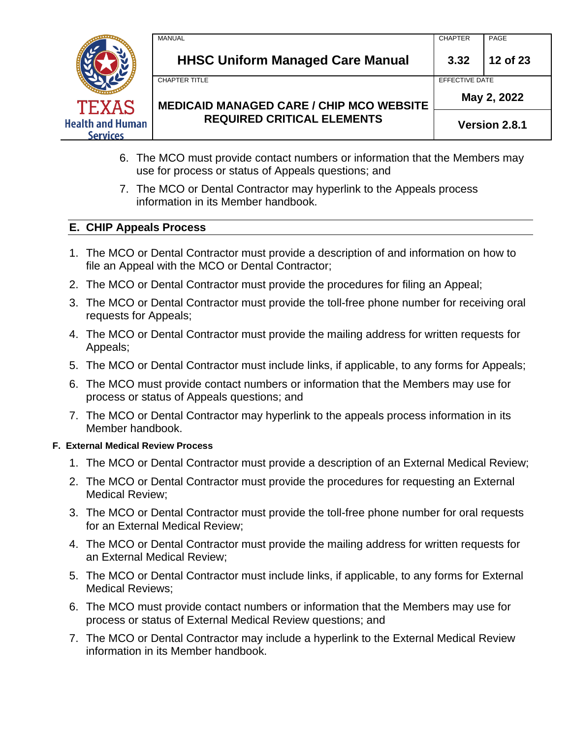

- 6. The MCO must provide contact numbers or information that the Members may use for process or status of Appeals questions; and
- 7. The MCO or Dental Contractor may hyperlink to the Appeals process information in its Member handbook.

### **E. CHIP Appeals Process**

- 1. The MCO or Dental Contractor must provide a description of and information on how to file an Appeal with the MCO or Dental Contractor;
- 2. The MCO or Dental Contractor must provide the procedures for filing an Appeal;
- 3. The MCO or Dental Contractor must provide the toll-free phone number for receiving oral requests for Appeals;
- 4. The MCO or Dental Contractor must provide the mailing address for written requests for Appeals;
- 5. The MCO or Dental Contractor must include links, if applicable, to any forms for Appeals;
- 6. The MCO must provide contact numbers or information that the Members may use for process or status of Appeals questions; and
- 7. The MCO or Dental Contractor may hyperlink to the appeals process information in its Member handbook.

### **F. External Medical Review Process**

- 1. The MCO or Dental Contractor must provide a description of an External Medical Review;
- 2. The MCO or Dental Contractor must provide the procedures for requesting an External Medical Review;
- 3. The MCO or Dental Contractor must provide the toll-free phone number for oral requests for an External Medical Review;
- 4. The MCO or Dental Contractor must provide the mailing address for written requests for an External Medical Review;
- 5. The MCO or Dental Contractor must include links, if applicable, to any forms for External Medical Reviews;
- 6. The MCO must provide contact numbers or information that the Members may use for process or status of External Medical Review questions; and
- 7. The MCO or Dental Contractor may include a hyperlink to the External Medical Review information in its Member handbook.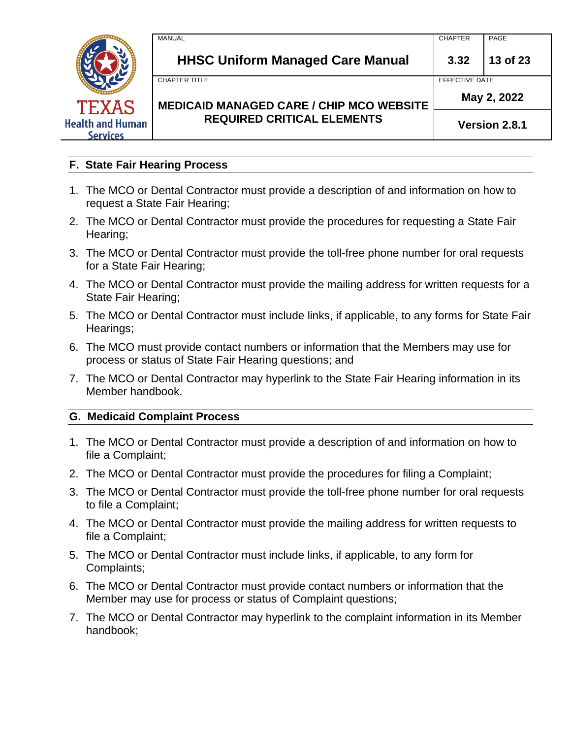

### **F. State Fair Hearing Process**

- 1. The MCO or Dental Contractor must provide a description of and information on how to request a State Fair Hearing;
- 2. The MCO or Dental Contractor must provide the procedures for requesting a State Fair Hearing;
- 3. The MCO or Dental Contractor must provide the toll-free phone number for oral requests for a State Fair Hearing;
- 4. The MCO or Dental Contractor must provide the mailing address for written requests for a State Fair Hearing;
- 5. The MCO or Dental Contractor must include links, if applicable, to any forms for State Fair Hearings;
- 6. The MCO must provide contact numbers or information that the Members may use for process or status of State Fair Hearing questions; and
- 7. The MCO or Dental Contractor may hyperlink to the State Fair Hearing information in its Member handbook.

#### **G. Medicaid Complaint Process**

- 1. The MCO or Dental Contractor must provide a description of and information on how to file a Complaint;
- 2. The MCO or Dental Contractor must provide the procedures for filing a Complaint;
- 3. The MCO or Dental Contractor must provide the toll-free phone number for oral requests to file a Complaint;
- 4. The MCO or Dental Contractor must provide the mailing address for written requests to file a Complaint;
- 5. The MCO or Dental Contractor must include links, if applicable, to any form for Complaints;
- 6. The MCO or Dental Contractor must provide contact numbers or information that the Member may use for process or status of Complaint questions;
- 7. The MCO or Dental Contractor may hyperlink to the complaint information in its Member handbook;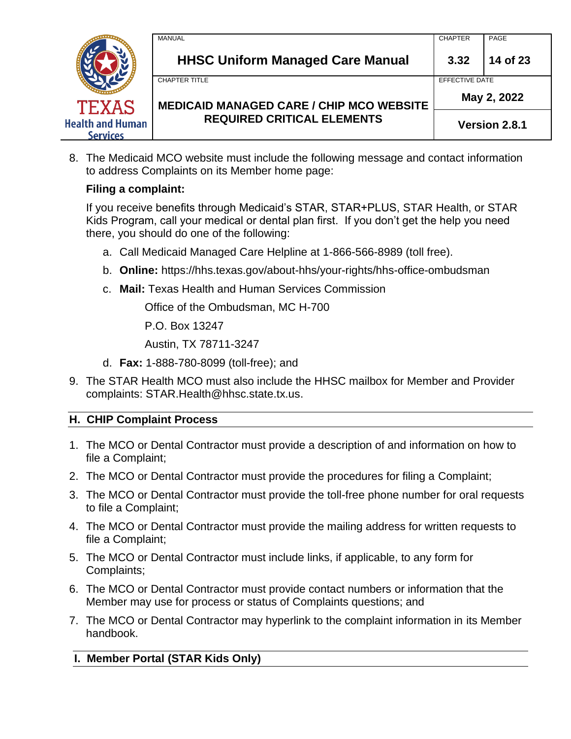

8. The Medicaid MCO website must include the following message and contact information to address Complaints on its Member home page:

# **Filing a complaint:**

If you receive benefits through Medicaid's STAR, STAR+PLUS, STAR Health, or STAR Kids Program, call your medical or dental plan first. If you don't get the help you need there, you should do one of the following:

- a. Call Medicaid Managed Care Helpline at 1-866-566-8989 (toll free).
- b. **Online:** https://hhs.texas.gov/about-hhs/your-rights/hhs-office-ombudsman
- c. **Mail:** Texas Health and Human Services Commission

Office of the Ombudsman, MC H-700

P.O. Box 13247

Austin, TX 78711-3247

- d. **Fax:** 1-888-780-8099 (toll-free); and
- 9. The STAR Health MCO must also include the HHSC mailbox for Member and Provider complaints: STAR.Health@hhsc.state.tx.us.

### **H. CHIP Complaint Process**

- 1. The MCO or Dental Contractor must provide a description of and information on how to file a Complaint;
- 2. The MCO or Dental Contractor must provide the procedures for filing a Complaint;
- 3. The MCO or Dental Contractor must provide the toll-free phone number for oral requests to file a Complaint;
- 4. The MCO or Dental Contractor must provide the mailing address for written requests to file a Complaint;
- 5. The MCO or Dental Contractor must include links, if applicable, to any form for Complaints;
- 6. The MCO or Dental Contractor must provide contact numbers or information that the Member may use for process or status of Complaints questions; and
- 7. The MCO or Dental Contractor may hyperlink to the complaint information in its Member handbook.

# **I. Member Portal (STAR Kids Only)**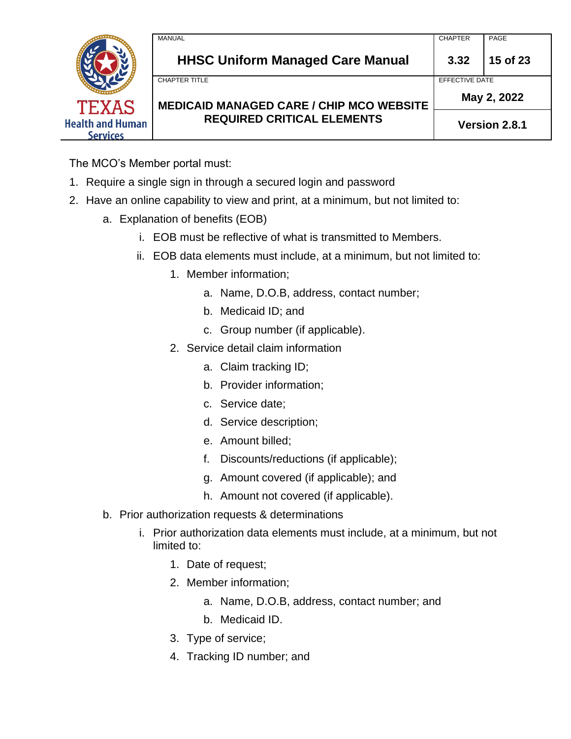| TEXAS                                      | MANUAL<br><b>HHSC Uniform Managed Care Manual</b>                       | <b>CHAPTER</b><br>3.32        | PAGE<br>15 of 23 |  |
|--------------------------------------------|-------------------------------------------------------------------------|-------------------------------|------------------|--|
|                                            | <b>CHAPTER TITLE</b><br><b>MEDICAID MANAGED CARE / CHIP MCO WEBSITE</b> | EFFECTIVE DATE<br>May 2, 2022 |                  |  |
| <b>Health and Human</b><br><b>Services</b> | <b>REQUIRED CRITICAL ELEMENTS</b>                                       |                               | Version 2.8.1    |  |

The MCO's Member portal must:

- 1. Require a single sign in through a secured login and password
- 2. Have an online capability to view and print, at a minimum, but not limited to:
	- a. Explanation of benefits (EOB)
		- i. EOB must be reflective of what is transmitted to Members.
		- ii. EOB data elements must include, at a minimum, but not limited to:
			- 1. Member information;
				- a. Name, D.O.B, address, contact number;
				- b. Medicaid ID; and
				- c. Group number (if applicable).
			- 2. Service detail claim information
				- a. Claim tracking ID;
				- b. Provider information;
				- c. Service date;
				- d. Service description;
				- e. Amount billed;
				- f. Discounts/reductions (if applicable);
				- g. Amount covered (if applicable); and
				- h. Amount not covered (if applicable).
	- b. Prior authorization requests & determinations
		- i. Prior authorization data elements must include, at a minimum, but not limited to:
			- 1. Date of request;
			- 2. Member information;
				- a. Name, D.O.B, address, contact number; and
				- b. Medicaid ID.
			- 3. Type of service;
			- 4. Tracking ID number; and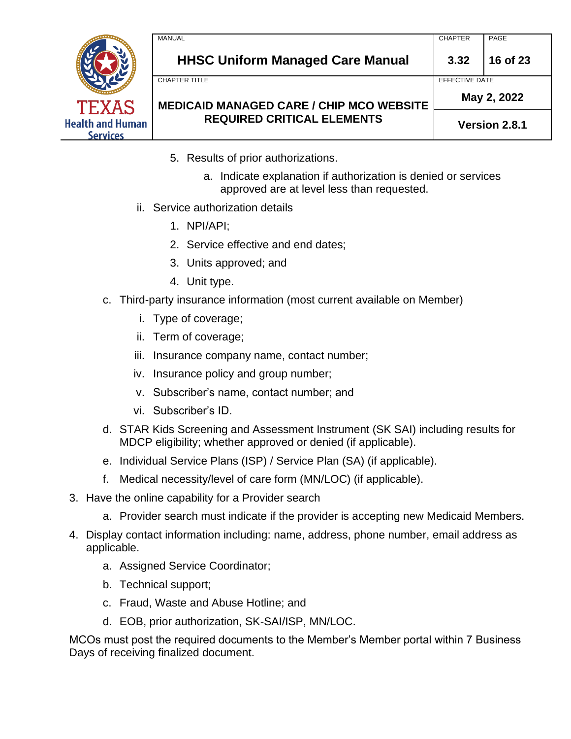

- 5. Results of prior authorizations.
	- a. Indicate explanation if authorization is denied or services approved are at level less than requested.
- ii. Service authorization details
	- 1. NPI/API;
	- 2. Service effective and end dates;
	- 3. Units approved; and
	- 4. Unit type.
- c. Third-party insurance information (most current available on Member)
	- i. Type of coverage;
	- ii. Term of coverage;
	- iii. Insurance company name, contact number;
	- iv. Insurance policy and group number;
	- v. Subscriber's name, contact number; and
	- vi. Subscriber's ID.
- d. STAR Kids Screening and Assessment Instrument (SK SAI) including results for MDCP eligibility; whether approved or denied (if applicable).
- e. Individual Service Plans (ISP) / Service Plan (SA) (if applicable).
- f. Medical necessity/level of care form (MN/LOC) (if applicable).
- 3. Have the online capability for a Provider search
	- a. Provider search must indicate if the provider is accepting new Medicaid Members.
- 4. Display contact information including: name, address, phone number, email address as applicable.
	- a. Assigned Service Coordinator;
	- b. Technical support;
	- c. Fraud, Waste and Abuse Hotline; and
	- d. EOB, prior authorization, SK-SAI/ISP, MN/LOC.

MCOs must post the required documents to the Member's Member portal within 7 Business Days of receiving finalized document.

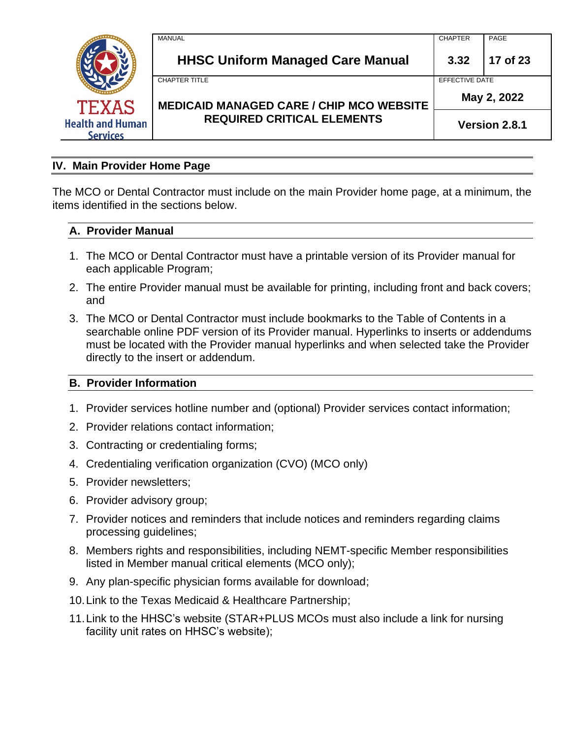

### **IV. Main Provider Home Page**

The MCO or Dental Contractor must include on the main Provider home page, at a minimum, the items identified in the sections below.

### **A. Provider Manual**

- 1. The MCO or Dental Contractor must have a printable version of its Provider manual for each applicable Program;
- 2. The entire Provider manual must be available for printing, including front and back covers; and
- 3. The MCO or Dental Contractor must include bookmarks to the Table of Contents in a searchable online PDF version of its Provider manual. Hyperlinks to inserts or addendums must be located with the Provider manual hyperlinks and when selected take the Provider directly to the insert or addendum.

### **B. Provider Information**

- 1. Provider services hotline number and (optional) Provider services contact information;
- 2. Provider relations contact information;
- 3. Contracting or credentialing forms;
- 4. Credentialing verification organization (CVO) (MCO only)
- 5. Provider newsletters;
- 6. Provider advisory group;
- 7. Provider notices and reminders that include notices and reminders regarding claims processing guidelines;
- 8. Members rights and responsibilities, including NEMT-specific Member responsibilities listed in Member manual critical elements (MCO only);
- 9. Any plan-specific physician forms available for download;
- 10.Link to the Texas Medicaid & Healthcare Partnership;
- 11.Link to the HHSC's website (STAR+PLUS MCOs must also include a link for nursing facility unit rates on HHSC's website);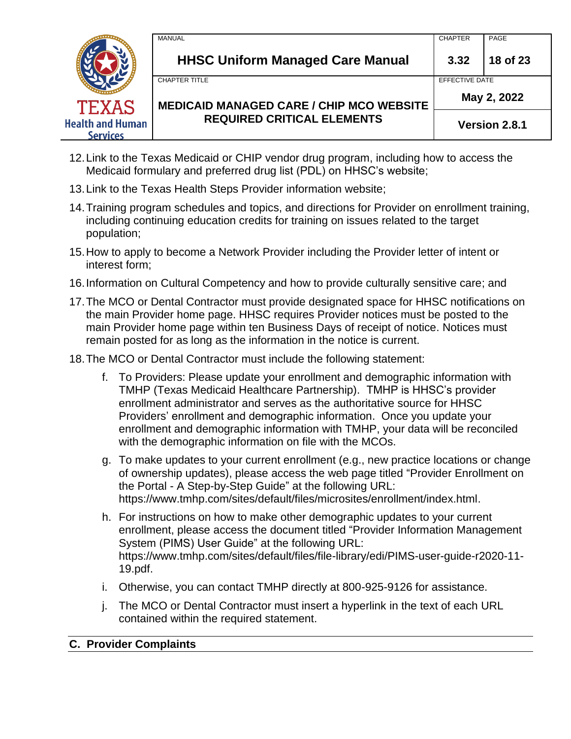|                                            | MANUAL                                                                  | <b>CHAPTER</b>                | PAGE     |
|--------------------------------------------|-------------------------------------------------------------------------|-------------------------------|----------|
| <b>TEXAS</b>                               | <b>HHSC Uniform Managed Care Manual</b>                                 | 3.32                          | 18 of 23 |
|                                            | <b>CHAPTER TITLE</b><br><b>MEDICAID MANAGED CARE / CHIP MCO WEBSITE</b> | EFFECTIVE DATE<br>May 2, 2022 |          |
| <b>Health and Human</b><br><b>Services</b> | <b>REQUIRED CRITICAL ELEMENTS</b>                                       | Version 2.8.1                 |          |

- 12.Link to the Texas Medicaid or CHIP vendor drug program, including how to access the Medicaid formulary and preferred drug list (PDL) on HHSC's website;
- 13.Link to the Texas Health Steps Provider information website;
- 14.Training program schedules and topics, and directions for Provider on enrollment training, including continuing education credits for training on issues related to the target population;
- 15.How to apply to become a Network Provider including the Provider letter of intent or interest form;
- 16.Information on Cultural Competency and how to provide culturally sensitive care; and
- 17.The MCO or Dental Contractor must provide designated space for HHSC notifications on the main Provider home page. HHSC requires Provider notices must be posted to the main Provider home page within ten Business Days of receipt of notice. Notices must remain posted for as long as the information in the notice is current.
- 18.The MCO or Dental Contractor must include the following statement:
	- f. To Providers: Please update your enrollment and demographic information with TMHP (Texas Medicaid Healthcare Partnership). TMHP is HHSC's provider enrollment administrator and serves as the authoritative source for HHSC Providers' enrollment and demographic information. Once you update your enrollment and demographic information with TMHP, your data will be reconciled with the demographic information on file with the MCOs.
	- g. To make updates to your current enrollment (e.g., new practice locations or change of ownership updates), please access the web page titled "Provider Enrollment on the Portal - A Step-by-Step Guide" at the following URL: https://www.tmhp.com/sites/default/files/microsites/enrollment/index.html.
	- h. For instructions on how to make other demographic updates to your current enrollment, please access the document titled "Provider Information Management System (PIMS) User Guide" at the following URL: https://www.tmhp.com/sites/default/files/file-library/edi/PIMS-user-guide-r2020-11- 19.pdf.
	- i. Otherwise, you can contact TMHP directly at 800-925-9126 for assistance.
	- j. The MCO or Dental Contractor must insert a hyperlink in the text of each URL contained within the required statement.

### **C. Provider Complaints**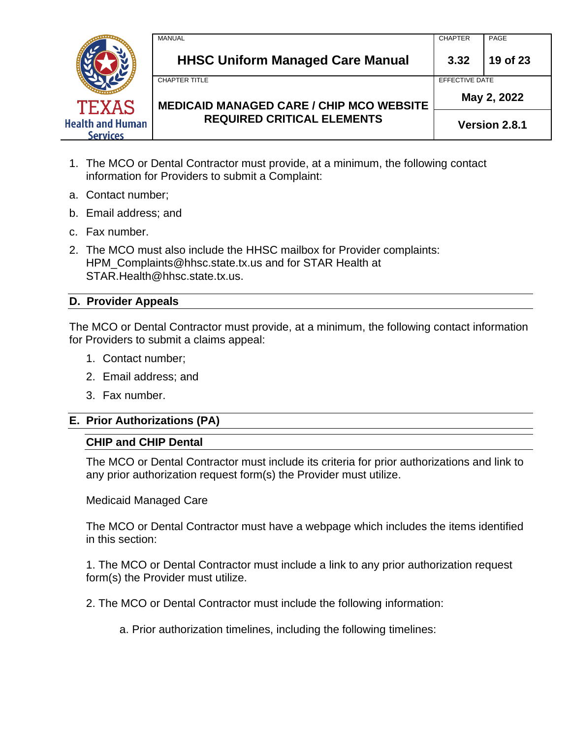

- 1. The MCO or Dental Contractor must provide, at a minimum, the following contact information for Providers to submit a Complaint:
- a. Contact number;
- b. Email address; and
- c. Fax number.
- 2. The MCO must also include the HHSC mailbox for Provider complaints: HPM\_Complaints@hhsc.state.tx.us and for STAR Health at STAR.Health@hhsc.state.tx.us.

### **D. Provider Appeals**

The MCO or Dental Contractor must provide, at a minimum, the following contact information for Providers to submit a claims appeal:

- 1. Contact number;
- 2. Email address; and
- 3. Fax number.

### **E. Prior Authorizations (PA)**

#### **CHIP and CHIP Dental**

The MCO or Dental Contractor must include its criteria for prior authorizations and link to any prior authorization request form(s) the Provider must utilize.

### Medicaid Managed Care

The MCO or Dental Contractor must have a webpage which includes the items identified in this section:

1. The MCO or Dental Contractor must include a link to any prior authorization request form(s) the Provider must utilize.

- 2. The MCO or Dental Contractor must include the following information:
	- a. Prior authorization timelines, including the following timelines: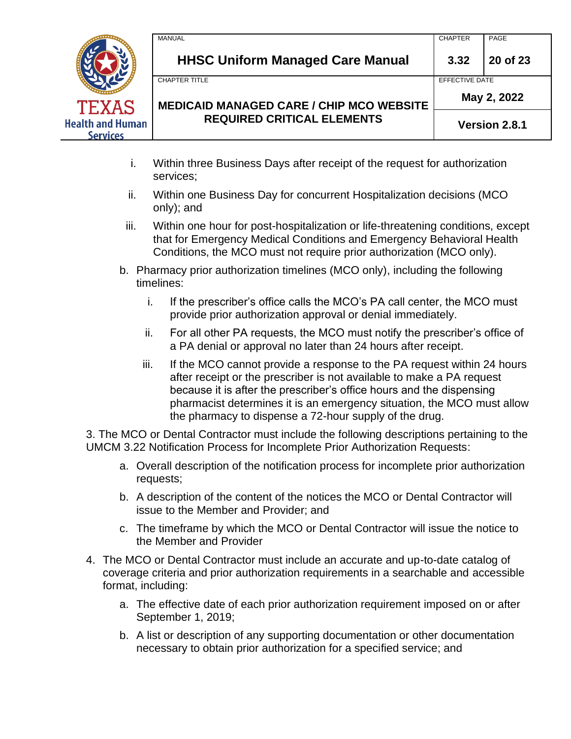|                                            | <b>MANUAL</b>                                   | <b>CHAPTER</b> | PAGE        |  |
|--------------------------------------------|-------------------------------------------------|----------------|-------------|--|
|                                            | <b>HHSC Uniform Managed Care Manual</b>         | 3.32           | 20 of 23    |  |
|                                            | <b>CHAPTER TITLE</b>                            | EFFECTIVE DATE |             |  |
| <b>TEXAS</b>                               | <b>MEDICAID MANAGED CARE / CHIP MCO WEBSITE</b> |                | May 2, 2022 |  |
| <b>Health and Human</b><br><b>Services</b> | <b>REQUIRED CRITICAL ELEMENTS</b>               | Version 2.8.1  |             |  |

- i. Within three Business Days after receipt of the request for authorization services;
- ii. Within one Business Day for concurrent Hospitalization decisions (MCO only); and
- iii. Within one hour for post-hospitalization or life-threatening conditions, except that for Emergency Medical Conditions and Emergency Behavioral Health Conditions, the MCO must not require prior authorization (MCO only).
- b. Pharmacy prior authorization timelines (MCO only), including the following timelines:
	- i. If the prescriber's office calls the MCO's PA call center, the MCO must provide prior authorization approval or denial immediately.
	- ii. For all other PA requests, the MCO must notify the prescriber's office of a PA denial or approval no later than 24 hours after receipt.
	- iii. If the MCO cannot provide a response to the PA request within 24 hours after receipt or the prescriber is not available to make a PA request because it is after the prescriber's office hours and the dispensing pharmacist determines it is an emergency situation, the MCO must allow the pharmacy to dispense a 72-hour supply of the drug.

3. The MCO or Dental Contractor must include the following descriptions pertaining to the UMCM 3.22 Notification Process for Incomplete Prior Authorization Requests:

- a. Overall description of the notification process for incomplete prior authorization requests;
- b. A description of the content of the notices the MCO or Dental Contractor will issue to the Member and Provider; and
- c. The timeframe by which the MCO or Dental Contractor will issue the notice to the Member and Provider
- 4. The MCO or Dental Contractor must include an accurate and up-to-date catalog of coverage criteria and prior authorization requirements in a searchable and accessible format, including:
	- a. The effective date of each prior authorization requirement imposed on or after September 1, 2019;
	- b. A list or description of any supporting documentation or other documentation necessary to obtain prior authorization for a specified service; and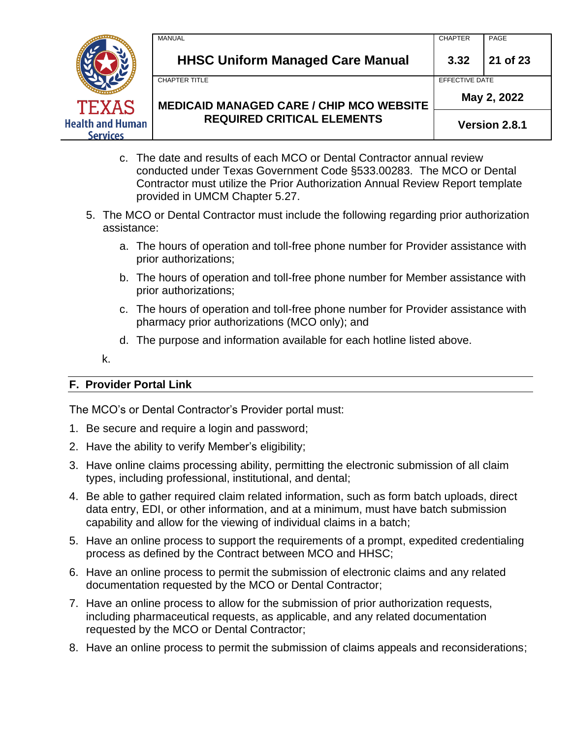

- c. The date and results of each MCO or Dental Contractor annual review conducted under Texas Government Code §533.00283. The MCO or Dental Contractor must utilize the Prior Authorization Annual Review Report template provided in UMCM Chapter 5.27.
- 5. The MCO or Dental Contractor must include the following regarding prior authorization assistance:
	- a. The hours of operation and toll-free phone number for Provider assistance with prior authorizations;
	- b. The hours of operation and toll-free phone number for Member assistance with prior authorizations;
	- c. The hours of operation and toll-free phone number for Provider assistance with pharmacy prior authorizations (MCO only); and
	- d. The purpose and information available for each hotline listed above.

k.

# **F. Provider Portal Link**

The MCO's or Dental Contractor's Provider portal must:

- 1. Be secure and require a login and password;
- 2. Have the ability to verify Member's eligibility;
- 3. Have online claims processing ability, permitting the electronic submission of all claim types, including professional, institutional, and dental;
- 4. Be able to gather required claim related information, such as form batch uploads, direct data entry, EDI, or other information, and at a minimum, must have batch submission capability and allow for the viewing of individual claims in a batch;
- 5. Have an online process to support the requirements of a prompt, expedited credentialing process as defined by the Contract between MCO and HHSC;
- 6. Have an online process to permit the submission of electronic claims and any related documentation requested by the MCO or Dental Contractor;
- 7. Have an online process to allow for the submission of prior authorization requests, including pharmaceutical requests, as applicable, and any related documentation requested by the MCO or Dental Contractor;
- 8. Have an online process to permit the submission of claims appeals and reconsiderations;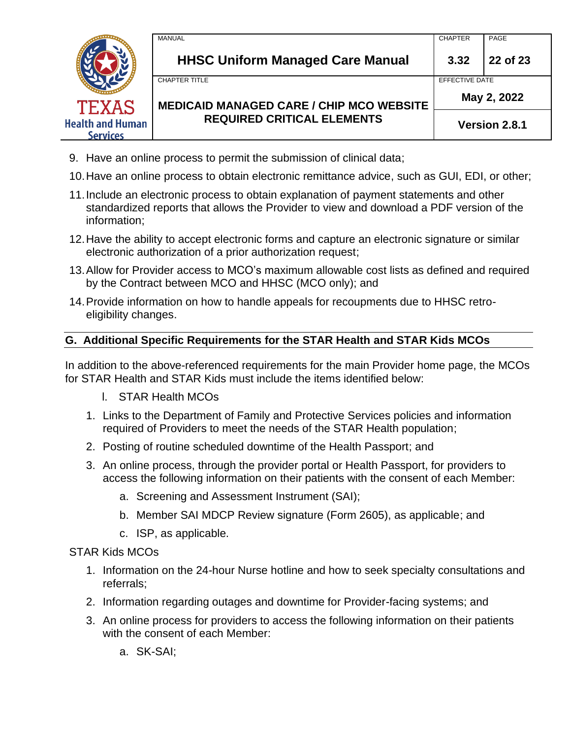

- 9. Have an online process to permit the submission of clinical data;
- 10.Have an online process to obtain electronic remittance advice, such as GUI, EDI, or other;
- 11.Include an electronic process to obtain explanation of payment statements and other standardized reports that allows the Provider to view and download a PDF version of the information;
- 12.Have the ability to accept electronic forms and capture an electronic signature or similar electronic authorization of a prior authorization request;
- 13.Allow for Provider access to MCO's maximum allowable cost lists as defined and required by the Contract between MCO and HHSC (MCO only); and
- 14.Provide information on how to handle appeals for recoupments due to HHSC retroeligibility changes.

### **G. Additional Specific Requirements for the STAR Health and STAR Kids MCOs**

In addition to the above-referenced requirements for the main Provider home page, the MCOs for STAR Health and STAR Kids must include the items identified below:

- l. STAR Health MCOs
- 1. Links to the Department of Family and Protective Services policies and information required of Providers to meet the needs of the STAR Health population;
- 2. Posting of routine scheduled downtime of the Health Passport; and
- 3. An online process, through the provider portal or Health Passport, for providers to access the following information on their patients with the consent of each Member:
	- a. Screening and Assessment Instrument (SAI);
	- b. Member SAI MDCP Review signature (Form 2605), as applicable; and
	- c. ISP, as applicable.

STAR Kids MCOs

- 1. Information on the 24-hour Nurse hotline and how to seek specialty consultations and referrals;
- 2. Information regarding outages and downtime for Provider-facing systems; and
- 3. An online process for providers to access the following information on their patients with the consent of each Member:

a. SK-SAI;